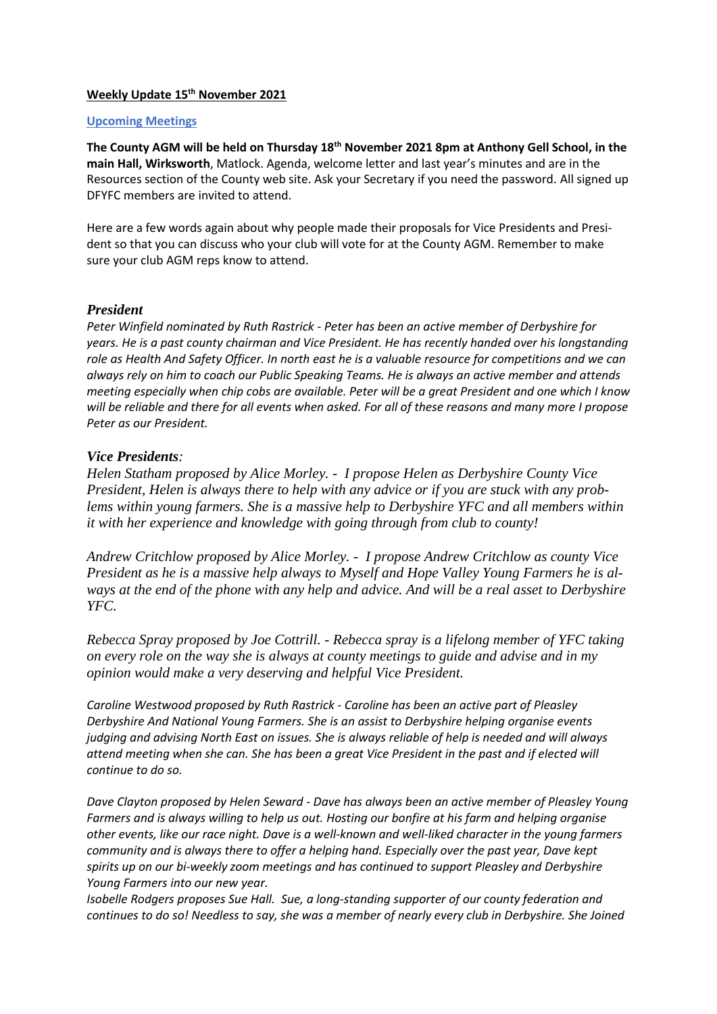#### **Weekly Update 15th November 2021**

#### **Upcoming Meetings**

**The County AGM will be held on Thursday 18th November 2021 8pm at Anthony Gell School, in the main Hall, Wirksworth**, Matlock. Agenda, welcome letter and last year's minutes and are in the Resources section of the County web site. Ask your Secretary if you need the password. All signed up DFYFC members are invited to attend.

Here are a few words again about why people made their proposals for Vice Presidents and President so that you can discuss who your club will vote for at the County AGM. Remember to make sure your club AGM reps know to attend.

### *President*

*Peter Winfield nominated by Ruth Rastrick - Peter has been an active member of Derbyshire for years. He is a past county chairman and Vice President. He has recently handed over his longstanding role as Health And Safety Officer. In north east he is a valuable resource for competitions and we can always rely on him to coach our Public Speaking Teams. He is always an active member and attends meeting especially when chip cobs are available. Peter will be a great President and one which I know will be reliable and there for all events when asked. For all of these reasons and many more I propose Peter as our President.*

### *Vice Presidents:*

*Helen Statham proposed by Alice Morley. - I propose Helen as Derbyshire County Vice President, Helen is always there to help with any advice or if you are stuck with any problems within young farmers. She is a massive help to Derbyshire YFC and all members within it with her experience and knowledge with going through from club to county!*

*Andrew Critchlow proposed by Alice Morley. - I propose Andrew Critchlow as county Vice President as he is a massive help always to Myself and Hope Valley Young Farmers he is always at the end of the phone with any help and advice. And will be a real asset to Derbyshire YFC.*

*Rebecca Spray proposed by Joe Cottrill. - Rebecca spray is a lifelong member of YFC taking on every role on the way she is always at county meetings to guide and advise and in my opinion would make a very deserving and helpful Vice President.*

*Caroline Westwood proposed by Ruth Rastrick - Caroline has been an active part of Pleasley Derbyshire And National Young Farmers. She is an assist to Derbyshire helping organise events judging and advising North East on issues. She is always reliable of help is needed and will always attend meeting when she can. She has been a great Vice President in the past and if elected will continue to do so.*

*Dave Clayton proposed by Helen Seward - Dave has always been an active member of Pleasley Young Farmers and is always willing to help us out. Hosting our bonfire at his farm and helping organise other events, like our race night. Dave is a well-known and well-liked character in the young farmers community and is always there to offer a helping hand. Especially over the past year, Dave kept spirits up on our bi-weekly zoom meetings and has continued to support Pleasley and Derbyshire Young Farmers into our new year.*

*Isobelle Rodgers proposes Sue Hall. Sue, a long-standing supporter of our county federation and continues to do so! Needless to say, she was a member of nearly every club in Derbyshire. She Joined*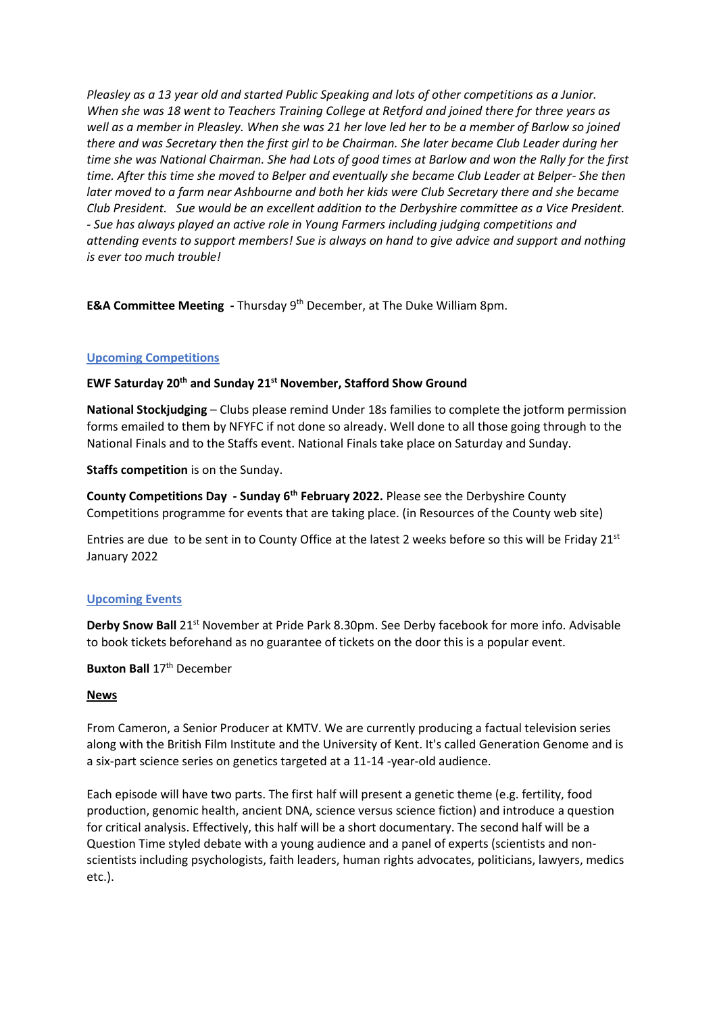*Pleasley as a 13 year old and started Public Speaking and lots of other competitions as a Junior. When she was 18 went to Teachers Training College at Retford and joined there for three years as well as a member in Pleasley. When she was 21 her love led her to be a member of Barlow so joined there and was Secretary then the first girl to be Chairman. She later became Club Leader during her time she was National Chairman. She had Lots of good times at Barlow and won the Rally for the first time. After this time she moved to Belper and eventually she became Club Leader at Belper- She then later moved to a farm near Ashbourne and both her kids were Club Secretary there and she became Club President. Sue would be an excellent addition to the Derbyshire committee as a Vice President. - Sue has always played an active role in Young Farmers including judging competitions and attending events to support members! Sue is always on hand to give advice and support and nothing is ever too much trouble!*

**E&A Committee Meeting** - Thursday 9<sup>th</sup> December, at The Duke William 8pm.

## **Upcoming Competitions**

### **EWF Saturday 20th and Sunday 21st November, Stafford Show Ground**

**National Stockjudging** – Clubs please remind Under 18s families to complete the jotform permission forms emailed to them by NFYFC if not done so already. Well done to all those going through to the National Finals and to the Staffs event. National Finals take place on Saturday and Sunday.

**Staffs competition** is on the Sunday.

**County Competitions Day - Sunday 6th February 2022.** Please see the Derbyshire County Competitions programme for events that are taking place. (in Resources of the County web site)

Entries are due to be sent in to County Office at the latest 2 weeks before so this will be Friday 21<sup>st</sup> January 2022

### **Upcoming Events**

**Derby Snow Ball** 21st November at Pride Park 8.30pm. See Derby facebook for more info. Advisable to book tickets beforehand as no guarantee of tickets on the door this is a popular event.

**Buxton Ball** 17<sup>th</sup> December

### **News**

From Cameron, a Senior Producer at KMTV. We are currently producing a factual television series along with the British Film Institute and the University of Kent. It's called Generation Genome and is a six-part science series on genetics targeted at a 11-14 -year-old audience.

Each episode will have two parts. The first half will present a genetic theme (e.g. fertility, food production, genomic health, ancient DNA, science versus science fiction) and introduce a question for critical analysis. Effectively, this half will be a short documentary. The second half will be a Question Time styled debate with a young audience and a panel of experts (scientists and nonscientists including psychologists, faith leaders, human rights advocates, politicians, lawyers, medics etc.).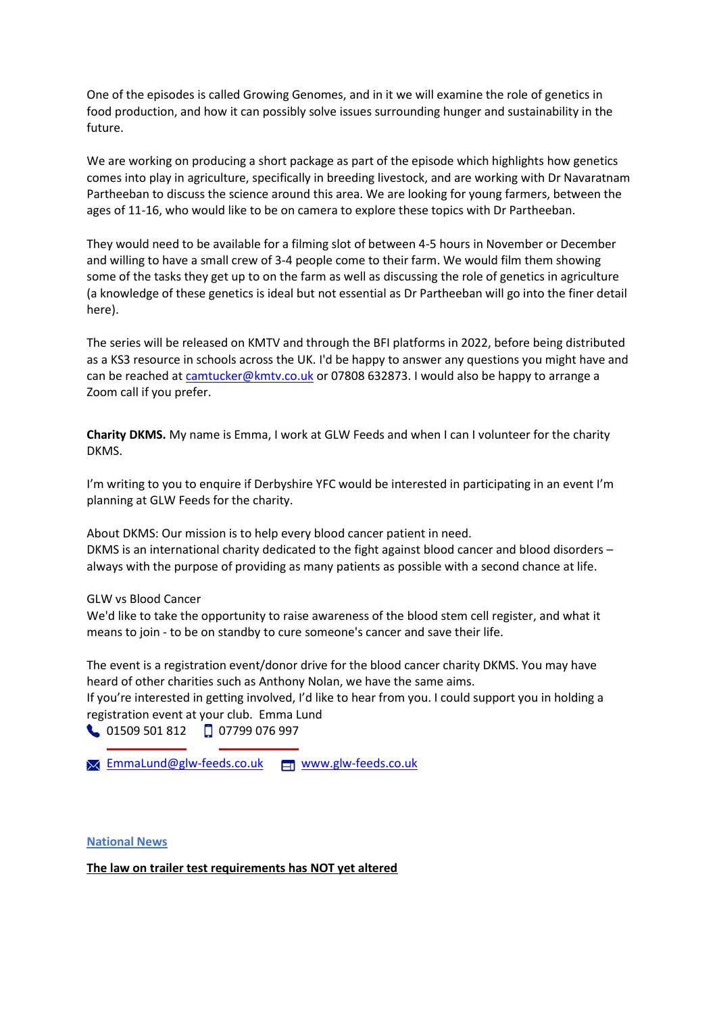One of the episodes is called Growing Genomes, and in it we will examine the role of genetics in food production, and how it can possibly solve issues surrounding hunger and sustainability in the future.

We are working on producing a short package as part of the episode which highlights how genetics comes into play in agriculture, specifically in breeding livestock, and are working with Dr Navaratnam Partheeban to discuss the science around this area. We are looking for young farmers, between the ages of 11-16, who would like to be on camera to explore these topics with Dr Partheeban.

They would need to be available for a filming slot of between 4-5 hours in November or December and willing to have a small crew of 3-4 people come to their farm. We would film them showing some of the tasks they get up to on the farm as well as discussing the role of genetics in agriculture (a knowledge of these genetics is ideal but not essential as Dr Partheeban will go into the finer detail here).

The series will be released on KMTV and through the BFI platforms in 2022, before being distributed as a KS3 resource in schools across the UK. I'd be happy to answer any questions you might have and can be reached at [camtucker@kmtv.co.uk](mailto:camtucker@kmtv.co.uk) or 07808 632873. I would also be happy to arrange a Zoom call if you prefer.

**Charity DKMS.** My name is Emma, I work at GLW Feeds and when I can I volunteer for the charity DKMS.

I'm writing to you to enquire if Derbyshire YFC would be interested in participating in an event I'm planning at GLW Feeds for the charity.

About DKMS: Our mission is to help every blood cancer patient in need. DKMS is an international charity dedicated to the fight against blood cancer and blood disorders – always with the purpose of providing as many patients as possible with a second chance at life.

#### GLW vs Blood Cancer

We'd like to take the opportunity to raise awareness of the blood stem cell register, and what it means to join - to be on standby to cure someone's cancer and save their life.

The event is a registration event/donor drive for the blood cancer charity DKMS. You may have heard of other charities such as Anthony Nolan, we have the same aims.

If you're interested in getting involved, I'd like to hear from you. I could support you in holding a registration event at your club. Emma Lund

01509 501 812 07799 076 997

**[EmmaLund@glw-feeds.co.uk](mailto:EmmaLund@glw-feeds.co.uk) manuformalund@glw-feeds.co.uk** 

#### **National News**

**The law on trailer test requirements has NOT yet altered**